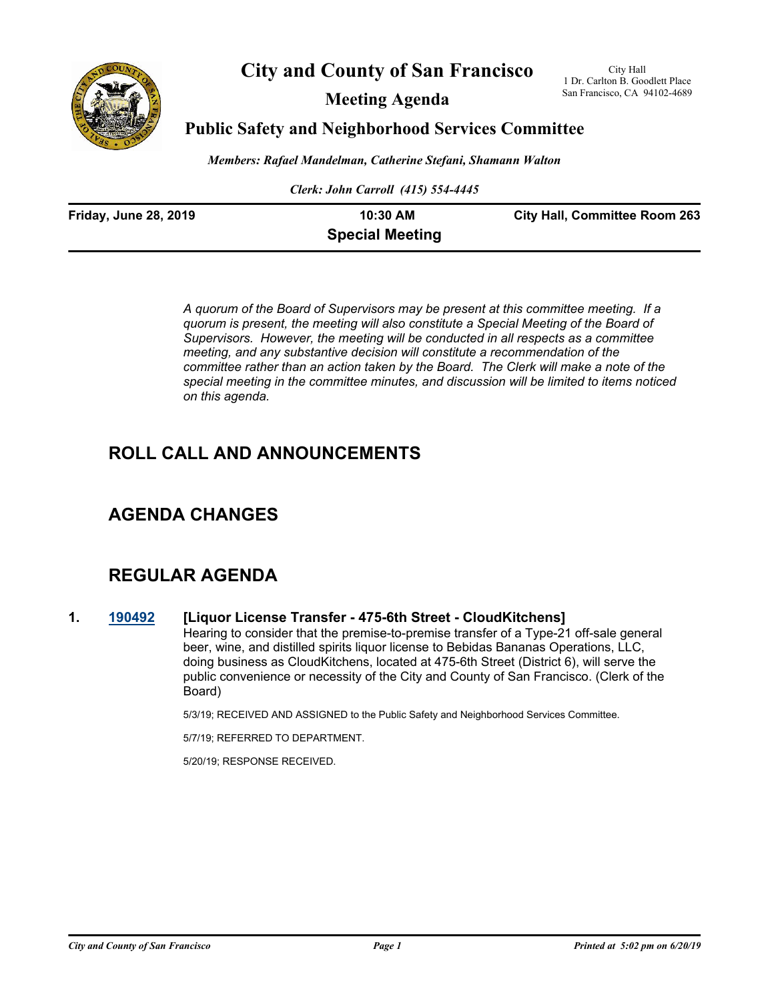

## **City and County of San Francisco**

**Meeting Agenda**

City Hall 1 Dr. Carlton B. Goodlett Place San Francisco, CA 94102-4689

## **Public Safety and Neighborhood Services Committee**

*Members: Rafael Mandelman, Catherine Stefani, Shamann Walton*

*Clerk: John Carroll (415) 554-4445*

| <b>Friday, June 28, 2019</b> | 10:30 AM               | <b>City Hall, Committee Room 263</b> |
|------------------------------|------------------------|--------------------------------------|
|                              | <b>Special Meeting</b> |                                      |

*A quorum of the Board of Supervisors may be present at this committee meeting. If a quorum is present, the meeting will also constitute a Special Meeting of the Board of Supervisors. However, the meeting will be conducted in all respects as a committee meeting, and any substantive decision will constitute a recommendation of the committee rather than an action taken by the Board. The Clerk will make a note of the special meeting in the committee minutes, and discussion will be limited to items noticed on this agenda.*

# **ROLL CALL AND ANNOUNCEMENTS**

## **AGENDA CHANGES**

# **REGULAR AGENDA**

#### **1. [190492](http://sfgov.legistar.com/gateway.aspx?m=l&id=34614) [Liquor License Transfer - 475-6th Street - CloudKitchens]**

Hearing to consider that the premise-to-premise transfer of a Type-21 off-sale general beer, wine, and distilled spirits liquor license to Bebidas Bananas Operations, LLC, doing business as CloudKitchens, located at 475-6th Street (District 6), will serve the public convenience or necessity of the City and County of San Francisco. (Clerk of the Board)

5/3/19; RECEIVED AND ASSIGNED to the Public Safety and Neighborhood Services Committee.

5/7/19; REFERRED TO DEPARTMENT.

5/20/19; RESPONSE RECEIVED.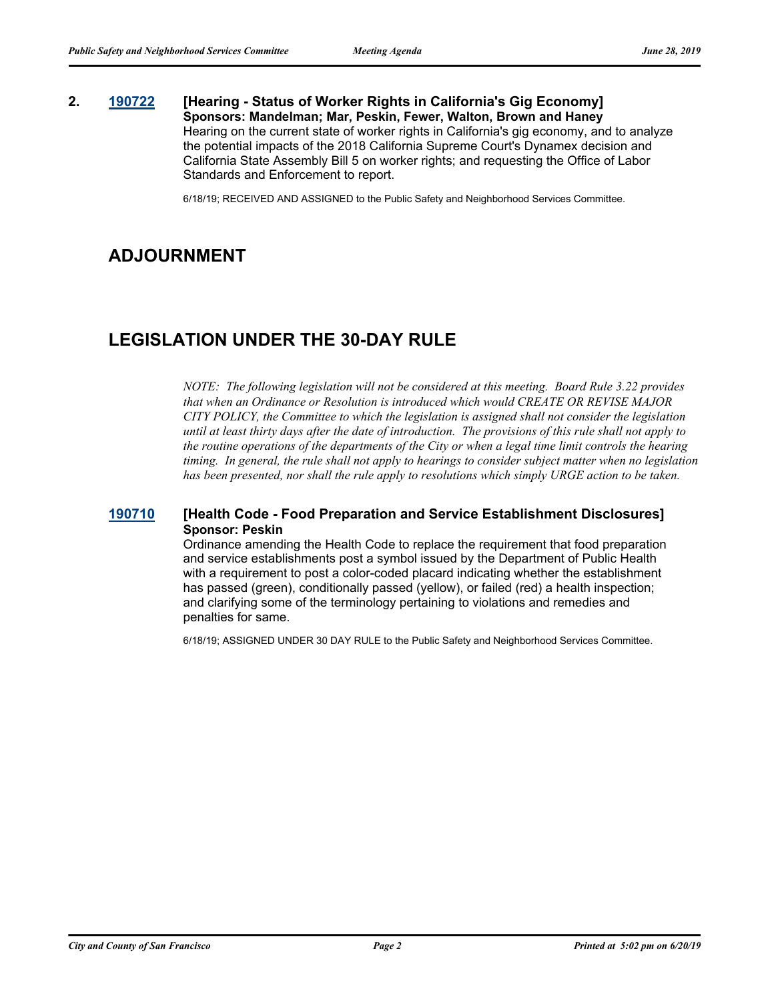#### **2. [190722](http://sfgov.legistar.com/gateway.aspx?m=l&id=34844) [Hearing - Status of Worker Rights in California's Gig Economy] Sponsors: Mandelman; Mar, Peskin, Fewer, Walton, Brown and Haney** Hearing on the current state of worker rights in California's gig economy, and to analyze the potential impacts of the 2018 California Supreme Court's Dynamex decision and California State Assembly Bill 5 on worker rights; and requesting the Office of Labor Standards and Enforcement to report.

6/18/19; RECEIVED AND ASSIGNED to the Public Safety and Neighborhood Services Committee.

## **ADJOURNMENT**

## **LEGISLATION UNDER THE 30-DAY RULE**

*NOTE: The following legislation will not be considered at this meeting. Board Rule 3.22 provides that when an Ordinance or Resolution is introduced which would CREATE OR REVISE MAJOR CITY POLICY, the Committee to which the legislation is assigned shall not consider the legislation until at least thirty days after the date of introduction. The provisions of this rule shall not apply to the routine operations of the departments of the City or when a legal time limit controls the hearing timing. In general, the rule shall not apply to hearings to consider subject matter when no legislation has been presented, nor shall the rule apply to resolutions which simply URGE action to be taken.*

#### **[190710](http://sfgov.legistar.com/gateway.aspx?m=l&id=34832) [Health Code - Food Preparation and Service Establishment Disclosures] Sponsor: Peskin**

Ordinance amending the Health Code to replace the requirement that food preparation and service establishments post a symbol issued by the Department of Public Health with a requirement to post a color-coded placard indicating whether the establishment has passed (green), conditionally passed (yellow), or failed (red) a health inspection; and clarifying some of the terminology pertaining to violations and remedies and penalties for same.

6/18/19; ASSIGNED UNDER 30 DAY RULE to the Public Safety and Neighborhood Services Committee.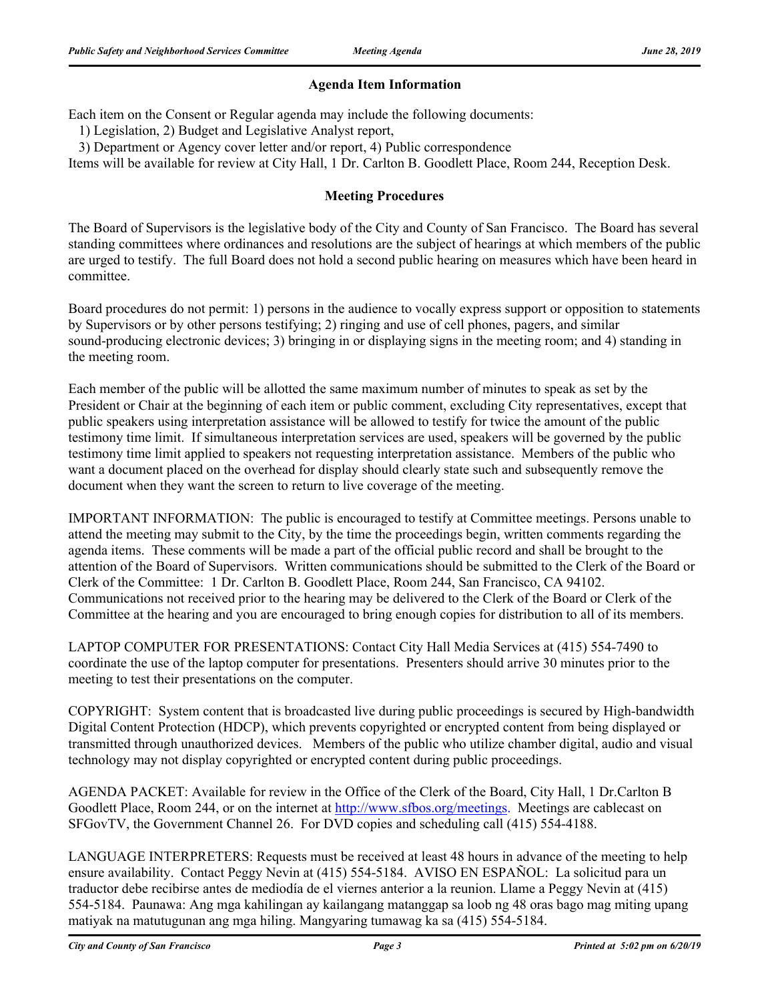## **Agenda Item Information**

Each item on the Consent or Regular agenda may include the following documents:

1) Legislation, 2) Budget and Legislative Analyst report,

3) Department or Agency cover letter and/or report, 4) Public correspondence

Items will be available for review at City Hall, 1 Dr. Carlton B. Goodlett Place, Room 244, Reception Desk.

## **Meeting Procedures**

The Board of Supervisors is the legislative body of the City and County of San Francisco. The Board has several standing committees where ordinances and resolutions are the subject of hearings at which members of the public are urged to testify. The full Board does not hold a second public hearing on measures which have been heard in committee.

Board procedures do not permit: 1) persons in the audience to vocally express support or opposition to statements by Supervisors or by other persons testifying; 2) ringing and use of cell phones, pagers, and similar sound-producing electronic devices; 3) bringing in or displaying signs in the meeting room; and 4) standing in the meeting room.

Each member of the public will be allotted the same maximum number of minutes to speak as set by the President or Chair at the beginning of each item or public comment, excluding City representatives, except that public speakers using interpretation assistance will be allowed to testify for twice the amount of the public testimony time limit. If simultaneous interpretation services are used, speakers will be governed by the public testimony time limit applied to speakers not requesting interpretation assistance. Members of the public who want a document placed on the overhead for display should clearly state such and subsequently remove the document when they want the screen to return to live coverage of the meeting.

IMPORTANT INFORMATION: The public is encouraged to testify at Committee meetings. Persons unable to attend the meeting may submit to the City, by the time the proceedings begin, written comments regarding the agenda items. These comments will be made a part of the official public record and shall be brought to the attention of the Board of Supervisors. Written communications should be submitted to the Clerk of the Board or Clerk of the Committee: 1 Dr. Carlton B. Goodlett Place, Room 244, San Francisco, CA 94102. Communications not received prior to the hearing may be delivered to the Clerk of the Board or Clerk of the Committee at the hearing and you are encouraged to bring enough copies for distribution to all of its members.

LAPTOP COMPUTER FOR PRESENTATIONS: Contact City Hall Media Services at (415) 554-7490 to coordinate the use of the laptop computer for presentations. Presenters should arrive 30 minutes prior to the meeting to test their presentations on the computer.

COPYRIGHT: System content that is broadcasted live during public proceedings is secured by High-bandwidth Digital Content Protection (HDCP), which prevents copyrighted or encrypted content from being displayed or transmitted through unauthorized devices. Members of the public who utilize chamber digital, audio and visual technology may not display copyrighted or encrypted content during public proceedings.

AGENDA PACKET: Available for review in the Office of the Clerk of the Board, City Hall, 1 Dr.Carlton B Goodlett Place, Room 244, or on the internet at http://www.sfbos.org/meetings. Meetings are cablecast on SFGovTV, the Government Channel 26. For DVD copies and scheduling call (415) 554-4188.

LANGUAGE INTERPRETERS: Requests must be received at least 48 hours in advance of the meeting to help ensure availability. Contact Peggy Nevin at (415) 554-5184. AVISO EN ESPAÑOL: La solicitud para un traductor debe recibirse antes de mediodía de el viernes anterior a la reunion. Llame a Peggy Nevin at (415) 554-5184. Paunawa: Ang mga kahilingan ay kailangang matanggap sa loob ng 48 oras bago mag miting upang matiyak na matutugunan ang mga hiling. Mangyaring tumawag ka sa (415) 554-5184.